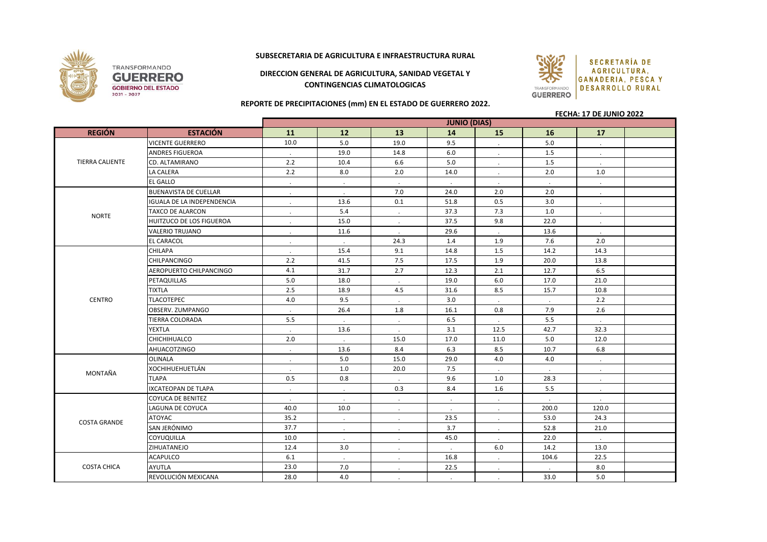

## **SUBSECRETARIA DE AGRICULTURA E INFRAESTRUCTURA RURAL**

**DIRECCION GENERAL DE AGRICULTURA, SANIDAD VEGETAL Y CONTINGENCIAS CLIMATOLOGICAS**



**REPORTE DE PRECIPITACIONES (mm) EN EL ESTADO DE GUERRERO 2022.**

## **FECHA: 17 DE JUNIO 2022**

|                        |                                   | <b>JUNIO (DIAS)</b> |              |                |           |           |                      |         |  |
|------------------------|-----------------------------------|---------------------|--------------|----------------|-----------|-----------|----------------------|---------|--|
| <b>REGIÓN</b>          | <b>ESTACIÓN</b>                   | 11                  | 12           | 13             | 14        | <b>15</b> | 16                   | 17      |  |
| <b>TIERRA CALIENTE</b> | <b>VICENTE GUERRERO</b>           | 10.0                | 5.0          | 19.0           | 9.5       |           | 5.0                  |         |  |
|                        | <b>ANDRES FIGUEROA</b>            | $\cdot$             | 19.0         | 14.8           | 6.0       |           | 1.5                  | $\cdot$ |  |
|                        | CD. ALTAMIRANO                    | 2.2                 | 10.4         | 6.6            | 5.0       |           | 1.5                  |         |  |
|                        | LA CALERA                         | 2.2                 | 8.0          | 2.0            | 14.0      | $\cdot$   | 2.0                  | 1.0     |  |
|                        | <b>EL GALLO</b>                   | $\cdot$             |              | $\blacksquare$ | $\cdot$   | $\cdot$   | $\ddot{\phantom{a}}$ | $\cdot$ |  |
| <b>NORTE</b>           | <b>BUENAVISTA DE CUELLAR</b>      | $\bullet$           |              | 7.0            | 24.0      | 2.0       | 2.0                  |         |  |
|                        | <b>IGUALA DE LA INDEPENDENCIA</b> | $\cdot$             | 13.6         | 0.1            | 51.8      | 0.5       | 3.0                  |         |  |
|                        | TAXCO DE ALARCON                  | $\cdot$             | 5.4          | $\cdot$        | 37.3      | 7.3       | $1.0$                |         |  |
|                        | HUITZUCO DE LOS FIGUEROA          | $\cdot$             | 15.0         | $\cdot$        | 37.5      | 9.8       | 22.0                 | $\cdot$ |  |
|                        | <b>VALERIO TRUJANO</b>            | $\cdot$             | 11.6         |                | 29.6      |           | 13.6                 |         |  |
|                        | <b>EL CARACOL</b>                 | $\cdot$             |              | 24.3           | 1.4       | 1.9       | 7.6                  | 2.0     |  |
|                        | <b>CHILAPA</b>                    | $\cdot$             | 15.4         | 9.1            | 14.8      | 1.5       | 14.2                 | 14.3    |  |
| <b>CENTRO</b>          | CHILPANCINGO                      | 2.2                 | 41.5         | 7.5            | 17.5      | 1.9       | 20.0                 | 13.8    |  |
|                        | AEROPUERTO CHILPANCINGO           | 4.1                 | 31.7         | 2.7            | 12.3      | 2.1       | 12.7                 | 6.5     |  |
|                        | PETAQUILLAS                       | 5.0                 | 18.0         | $\blacksquare$ | 19.0      | 6.0       | 17.0                 | 21.0    |  |
|                        | <b>TIXTLA</b>                     | 2.5                 | 18.9         | 4.5            | 31.6      | 8.5       | 15.7                 | 10.8    |  |
|                        | <b>TLACOTEPEC</b>                 | 4.0                 | 9.5          | $\sim$         | 3.0       | $\cdot$   | $\cdot$              | 2.2     |  |
|                        | OBSERV. ZUMPANGO                  | $\cdot$             | 26.4         | 1.8            | 16.1      | 0.8       | 7.9                  | 2.6     |  |
|                        | TIERRA COLORADA                   | 5.5                 | $\cdot$      | $\cdot$        | 6.5       | $\cdot$   | 5.5                  | $\cdot$ |  |
|                        | YEXTLA                            | $\sim$              | 13.6         | $\sim$         | 3.1       | 12.5      | 42.7                 | 32.3    |  |
|                        | <b>CHICHIHUALCO</b>               | 2.0                 | $\cdot$      | 15.0           | 17.0      | 11.0      | 5.0                  | 12.0    |  |
|                        | <b>AHUACOTZINGO</b>               | $\cdot$             | 13.6         | 8.4            | 6.3       | 8.5       | 10.7                 | 6.8     |  |
| MONTAÑA                | <b>OLINALA</b>                    | $\cdot$             | 5.0          | 15.0           | 29.0      | 4.0       | 4.0                  | $\cdot$ |  |
|                        | <b>XOCHIHUEHUETLÁN</b>            | $\cdot$             | 1.0          | 20.0           | 7.5       | $\cdot$   | $\cdot$              | $\cdot$ |  |
|                        | <b>TLAPA</b>                      | 0.5                 | 0.8          | $\sim$         | 9.6       | 1.0       | 28.3                 | $\cdot$ |  |
|                        | <b>IXCATEOPAN DE TLAPA</b>        | $\cdot$             | $\mathbf{r}$ | 0.3            | 8.4       | 1.6       | 5.5                  | $\cdot$ |  |
| <b>COSTA GRANDE</b>    | <b>COYUCA DE BENITEZ</b>          | $\cdot$             | $\cdot$      | $\cdot$        | $\bullet$ | $\cdot$   | $\cdot$              | $\cdot$ |  |
|                        | LAGUNA DE COYUCA                  | 40.0                | 10.0         | $\cdot$        | $\cdot$   | $\cdot$   | 200.0                | 120.0   |  |
|                        | <b>ATOYAC</b>                     | 35.2                | $\cdot$      | $\blacksquare$ | 23.5      | $\cdot$   | 53.0                 | 24.3    |  |
|                        | SAN JERÓNIMO                      | 37.7                | $\cdot$      | $\cdot$        | 3.7       | $\cdot$   | 52.8                 | 21.0    |  |
|                        | <b>COYUQUILLA</b>                 | 10.0                |              | $\cdot$        | 45.0      |           | 22.0                 |         |  |
|                        | ZIHUATANEJO                       | 12.4                | 3.0          | $\cdot$        | $\cdot$   | 6.0       | 14.2                 | 13.0    |  |
| <b>COSTA CHICA</b>     | <b>ACAPULCO</b>                   | 6.1                 | $\cdot$      | $\cdot$        | 16.8      | $\cdot$   | 104.6                | 22.5    |  |
|                        | <b>AYUTLA</b>                     | 23.0                | 7.0          | $\cdot$        | 22.5      |           |                      | 8.0     |  |
|                        | REVOLUCIÓN MEXICANA               | 28.0                | 4.0          | $\cdot$        | $\bullet$ | $\cdot$   | 33.0                 | 5.0     |  |